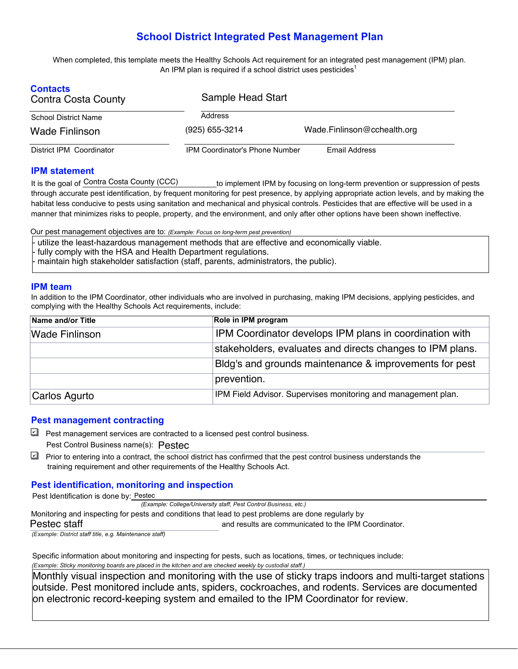# **School District Integrated Pest Management Plan**

 When completed, this template meets the Healthy Schools Act requirement for an integrated pest management (IPM) plan. An IPM plan is required if a school district uses pesticides<sup>1</sup>

| <b>Contacts</b><br>Contra Costa County | Sample Head Start                     |                             |  |  |  |
|----------------------------------------|---------------------------------------|-----------------------------|--|--|--|
| School District Name                   | Address                               |                             |  |  |  |
| Wade Finlinson                         | (925) 655-3214                        | Wade.Finlinson@cchealth.org |  |  |  |
| District IPM Coordinator               | <b>IPM Coordinator's Phone Number</b> | Email Address               |  |  |  |

#### **IPM statement**

is the goal of Contra Costa County (CCC) through accurate pest identification, by frequent monitoring for pest presence, by applying appropriate action levels, and by making the habitat less conducive to pests using sanitation and mechanical and physical controls. Pesticides that are effective will be used in a manner that minimizes risks to people, property, and the environment, and only after other options have been shown ineffective. to implement IPM by focusing on long-term prevention or suppression of pests

Our pest management objectives are to: *(Example: Focus on long-term pest prevention)* 

- utilize the least-hazardous management methods that are effective and economically viable.
- fully comply with the HSA and Health Department regulations.
- maintain high stakeholder satisfaction (staff, parents, administrators, the public).

#### **IPM team**

In addition to the IPM Coordinator, other individuals who are involved in purchasing, making IPM decisions, applying pesticides, and complying with the Healthy Schools Act requirements, include:

| Name and/or Title     | Role in IPM program                                           |  |  |  |
|-----------------------|---------------------------------------------------------------|--|--|--|
| <b>Wade Finlinson</b> | IPM Coordinator develops IPM plans in coordination with       |  |  |  |
|                       | stakeholders, evaluates and directs changes to IPM plans.     |  |  |  |
|                       | Bldg's and grounds maintenance & improvements for pest        |  |  |  |
|                       | prevention.                                                   |  |  |  |
| Carlos Agurto         | IPM Field Advisor. Supervises monitoring and management plan. |  |  |  |

#### **Pest management contracting**

- $\Box$  Pest management services are contracted to a licensed pest control business. Pest Control Business name(s): Pestec
- Prior to entering into a contract, the school district has confirmed that the pest control business understands the training requirement and other requirements of the Healthy Schools Act.

## **Pest identification, monitoring and inspection**

Pest Identification is done by: Pestec

 *(Example: College/University staff, Pest Control Business, etc.)* 

 and results are communicated to the IPM Coordinator. Monitoring and inspecting for pests and conditions that lead to pest problems are done regularly by Pestec staff

*(Example: District staff title, e.g. Maintenance staff)* 

 Specific information about monitoring and inspecting for pests, such as locations, times, or techniques include:  *(Example: Sticky monitoring boards are placed in the kitchen and are checked weekly by custodial staff.)* 

Monthly visual inspection and monitoring with the use of sticky traps indoors and multi-target stations outside. Pest monitored include ants, spiders, cockroaches, and rodents. Services are documented on electronic record-keeping system and emailed to the IPM Coordinator for review.